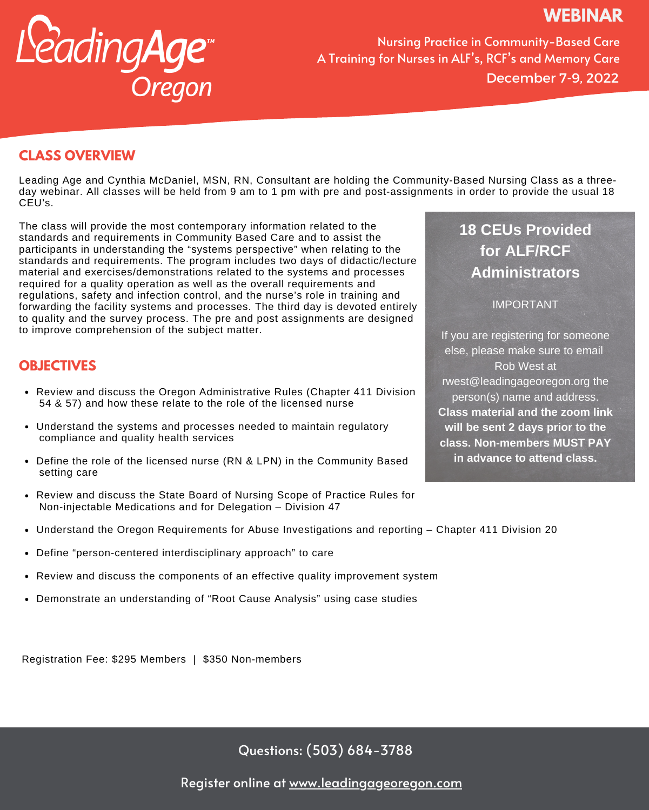# **WEBINAR**



Nursing Practice in Community-Based Care A Training for Nurses in ALF's, RCF's and Memory Care December 7-9, 2022

## **CLASS OVERVIEW**

Leading Age and Cynthia McDaniel, MSN, RN, Consultant are holding the Community-Based Nursing Class as a threeday webinar. All classes will be held from 9 am to 1 pm with pre and post-assignments in order to provide the usual 18 CEU's.

The class will provide the most contemporary information related to the standards and requirements in Community Based Care and to assist the participants in understanding the "systems perspective" when relating to the standards and requirements. The program includes two days of didactic/lecture material and exercises/demonstrations related to the systems and processes required for a quality operation as well as the overall requirements and regulations, safety and infection control, and the nurse's role in training and forwarding the facility systems and processes. The third day is devoted entirely to quality and the survey process. The pre and post assignments are designed to improve comprehension of the subject matter.

## **OBJECTIVES**

- Review and discuss the Oregon Administrative Rules (Chapter 411 Division 54 & 57) and how these relate to the role of the licensed nurse
- Understand the systems and processes needed to maintain regulatory compliance and quality health services
- Define the role of the licensed nurse (RN & LPN) in the Community Based setting care
- Review and discuss the State Board of Nursing Scope of Practice Rules for Non-injectable Medications and for Delegation – Division 47
- Understand the Oregon Requirements for Abuse Investigations and reporting Chapter 411 Division 20
- Define "person-centered interdisciplinary approach" to care
- Review and discuss the components of an effective quality improvement system
- Demonstrate an understanding of "Root Cause Analysis" using case studies

Registration Fee: \$295 Members | \$350 Non-members

Questions: (503) 684-3788

**18 CEUs Provided for ALF/RCF Administrators**

IMPORTANT

If you are registering for someone else, please make sure to email Rob West at rwest@leadingageoregon.org the person(s) name and address. **Class material and the zoom link will be sent 2 days prior to the class. Non-members MUST PAY in advance to attend class.**

Register online at [www.leadingageoregon.com](https://lao.memberclicks.net/index.php?option=com_mcform&view=ngforms&id=2106847)